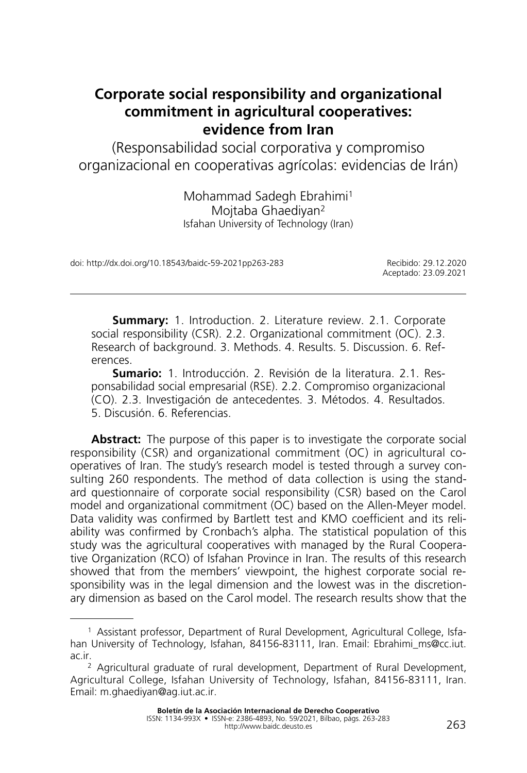# **Corporate social responsibility and organizational commitment in agricultural cooperatives: evidence from Iran**

(Responsabilidad social corporativa y compromiso organizacional en cooperativas agrícolas: evidencias de Irán)

> Mohammad Sadegh Ebrahimi1 Mojtaba Ghaediyan2 Isfahan University of Technology (Iran)

doi: http://dx.doi.org/10.18543/baidc-59-2021pp263-283 Recibido: 29.12.2020

Aceptado: 23.09.2021

**Summary:** 1. Introduction. 2. Literature review. 2.1. Corporate social responsibility (CSR). 2.2. Organizational commitment (OC). 2.3. Research of background. 3. Methods. 4. Results. 5. Discussion. 6. References.

**Sumario:** 1. Introducción. 2. Revisión de la literatura. 2.1. Responsabilidad social empresarial (RSE). 2.2. Compromiso organizacional (CO). 2.3. Investigación de antecedentes. 3. Métodos. 4. Resultados. 5. Discusión. 6. Referencias.

**Abstract:** The purpose of this paper is to investigate the corporate social responsibility (CSR) and organizational commitment (OC) in agricultural cooperatives of Iran. The study's research model is tested through a survey consulting 260 respondents. The method of data collection is using the standard questionnaire of corporate social responsibility (CSR) based on the Carol model and organizational commitment (OC) based on the Allen-Meyer model. Data validity was confirmed by Bartlett test and KMO coefficient and its reliability was confirmed by Cronbach's alpha. The statistical population of this study was the agricultural cooperatives with managed by the Rural Cooperative Organization (RCO) of Isfahan Province in Iran. The results of this research showed that from the members' viewpoint, the highest corporate social responsibility was in the legal dimension and the lowest was in the discretionary dimension as based on the Carol model. The research results show that the

<sup>1</sup> Assistant professor, Department of Rural Development, Agricultural College, Isfahan University of Technology, Isfahan, 84156-83111, Iran. Email: Ebrahimi\_ms@cc.iut. ac.ir.<br><sup>2</sup> Agricultural graduate of rural development, Department of Rural Development,

Agricultural College, Isfahan University of Technology, Isfahan, 84156-83111, Iran. Email: m.ghaediyan@ag.iut.ac.ir.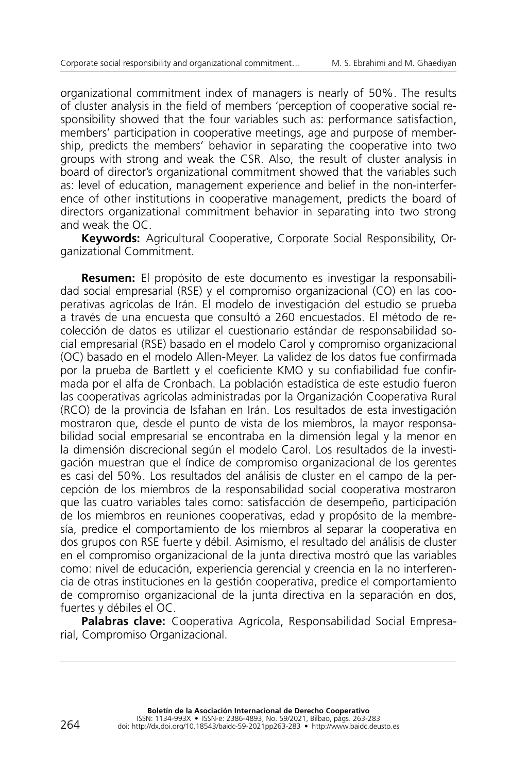organizational commitment index of managers is nearly of 50%. The results of cluster analysis in the field of members 'perception of cooperative social responsibility showed that the four variables such as: performance satisfaction, members' participation in cooperative meetings, age and purpose of membership, predicts the members' behavior in separating the cooperative into two groups with strong and weak the CSR. Also, the result of cluster analysis in board of director's organizational commitment showed that the variables such as: level of education, management experience and belief in the non-interference of other institutions in cooperative management, predicts the board of directors organizational commitment behavior in separating into two strong and weak the OC.

**Keywords:** Agricultural Cooperative, Corporate Social Responsibility, Organizational Commitment.

**Resumen:** El propósito de este documento es investigar la responsabilidad social empresarial (RSE) y el compromiso organizacional (CO) en las cooperativas agrícolas de Irán. El modelo de investigación del estudio se prueba a través de una encuesta que consultó a 260 encuestados. El método de recolección de datos es utilizar el cuestionario estándar de responsabilidad social empresarial (RSE) basado en el modelo Carol y compromiso organizacional (OC) basado en el modelo Allen-Meyer. La validez de los datos fue confirmada por la prueba de Bartlett y el coeficiente KMO y su confiabilidad fue confirmada por el alfa de Cronbach. La población estadística de este estudio fueron las cooperativas agrícolas administradas por la Organización Cooperativa Rural (RCO) de la provincia de Isfahan en Irán. Los resultados de esta investigación mostraron que, desde el punto de vista de los miembros, la mayor responsabilidad social empresarial se encontraba en la dimensión legal y la menor en la dimensión discrecional según el modelo Carol. Los resultados de la investigación muestran que el índice de compromiso organizacional de los gerentes es casi del 50%. Los resultados del análisis de cluster en el campo de la percepción de los miembros de la responsabilidad social cooperativa mostraron que las cuatro variables tales como: satisfacción de desempeño, participación de los miembros en reuniones cooperativas, edad y propósito de la membresía, predice el comportamiento de los miembros al separar la cooperativa en dos grupos con RSE fuerte y débil. Asimismo, el resultado del análisis de cluster en el compromiso organizacional de la junta directiva mostró que las variables como: nivel de educación, experiencia gerencial y creencia en la no interferencia de otras instituciones en la gestión cooperativa, predice el comportamiento de compromiso organizacional de la junta directiva en la separación en dos, fuertes y débiles el OC.

**Palabras clave:** Cooperativa Agrícola, Responsabilidad Social Empresarial, Compromiso Organizacional.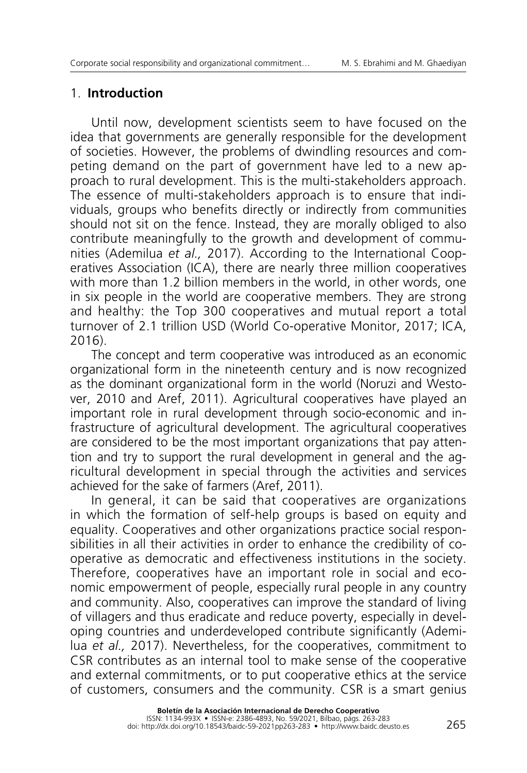### 1. **Introduction**

Until now, development scientists seem to have focused on the idea that governments are generally responsible for the development of societies. However, the problems of dwindling resources and competing demand on the part of government have led to a new approach to rural development. This is the multi-stakeholders approach. The essence of multi-stakeholders approach is to ensure that individuals, groups who benefits directly or indirectly from communities should not sit on the fence. Instead, they are morally obliged to also contribute meaningfully to the growth and development of communities (Ademilua *et al.,* 2017). According to the International Cooperatives Association (ICA), there are nearly three million cooperatives with more than 1.2 billion members in the world, in other words, one in six people in the world are cooperative members. They are strong and healthy: the Top 300 cooperatives and mutual report a total turnover of 2.1 trillion USD (World Co-operative Monitor, 2017; ICA, 2016).

The concept and term cooperative was introduced as an economic organizational form in the nineteenth century and is now recognized as the dominant organizational form in the world (Noruzi and Westover, 2010 and Aref, 2011). Agricultural cooperatives have played an important role in rural development through socio-economic and infrastructure of agricultural development. The agricultural cooperatives are considered to be the most important organizations that pay attention and try to support the rural development in general and the agricultural development in special through the activities and services achieved for the sake of farmers (Aref, 2011).

In general, it can be said that cooperatives are organizations in which the formation of self-help groups is based on equity and equality. Cooperatives and other organizations practice social responsibilities in all their activities in order to enhance the credibility of cooperative as democratic and effectiveness institutions in the society. Therefore, cooperatives have an important role in social and economic empowerment of people, especially rural people in any country and community. Also, cooperatives can improve the standard of living of villagers and thus eradicate and reduce poverty, especially in developing countries and underdeveloped contribute significantly (Ademilua *et al.,* 2017). Nevertheless, for the cooperatives, commitment to CSR contributes as an internal tool to make sense of the cooperative and external commitments, or to put cooperative ethics at the service of customers, consumers and the community. CSR is a smart genius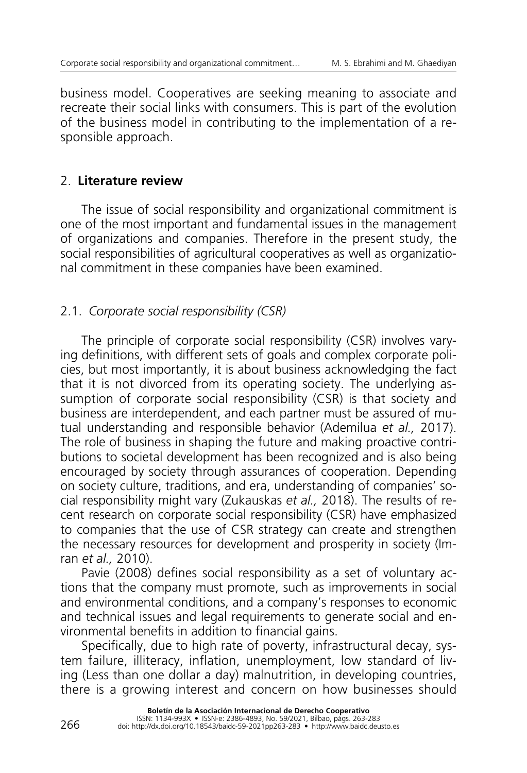business model. Cooperatives are seeking meaning to associate and recreate their social links with consumers. This is part of the evolution of the business model in contributing to the implementation of a responsible approach.

## 2. **Literature review**

The issue of social responsibility and organizational commitment is one of the most important and fundamental issues in the management of organizations and companies. Therefore in the present study, the social responsibilities of agricultural cooperatives as well as organizational commitment in these companies have been examined.

# 2.1. *Corporate social responsibility (CSR)*

The principle of corporate social responsibility (CSR) involves varying definitions, with different sets of goals and complex corporate policies, but most importantly, it is about business acknowledging the fact that it is not divorced from its operating society. The underlying assumption of corporate social responsibility (CSR) is that society and business are interdependent, and each partner must be assured of mutual understanding and responsible behavior (Ademilua *et al.,* 2017). The role of business in shaping the future and making proactive contributions to societal development has been recognized and is also being encouraged by society through assurances of cooperation. Depending on society culture, traditions, and era, understanding of companies' social responsibility might vary (Zukauskas *et al.,* 2018). The results of recent research on corporate social responsibility (CSR) have emphasized to companies that the use of CSR strategy can create and strengthen the necessary resources for development and prosperity in society (Imran *et al.,* 2010).

Pavie (2008) defines social responsibility as a set of voluntary actions that the company must promote, such as improvements in social and environmental conditions, and a company's responses to economic and technical issues and legal requirements to generate social and environmental benefits in addition to financial gains.

Specifically, due to high rate of poverty, infrastructural decay, system failure, illiteracy, inflation, unemployment, low standard of living (Less than one dollar a day) malnutrition, in developing countries, there is a growing interest and concern on how businesses should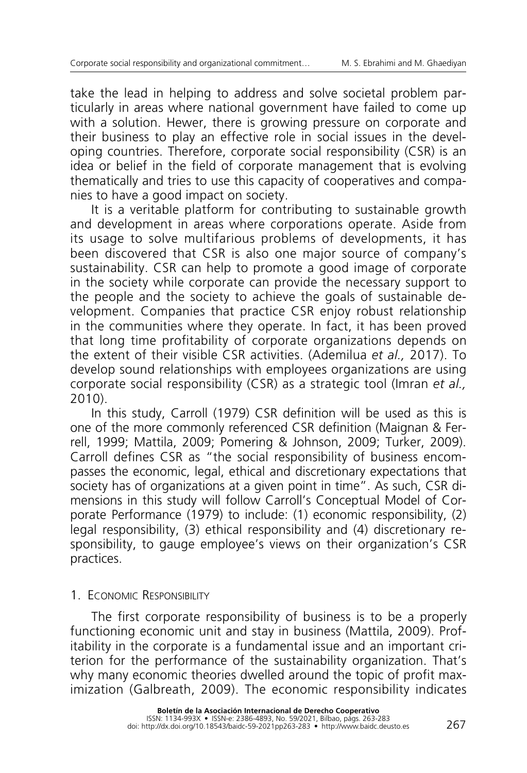take the lead in helping to address and solve societal problem particularly in areas where national government have failed to come up with a solution. Hewer, there is growing pressure on corporate and their business to play an effective role in social issues in the developing countries. Therefore, corporate social responsibility (CSR) is an idea or belief in the field of corporate management that is evolving thematically and tries to use this capacity of cooperatives and companies to have a good impact on society.

It is a veritable platform for contributing to sustainable growth and development in areas where corporations operate. Aside from its usage to solve multifarious problems of developments, it has been discovered that CSR is also one major source of company's sustainability. CSR can help to promote a good image of corporate in the society while corporate can provide the necessary support to the people and the society to achieve the goals of sustainable development. Companies that practice CSR enjoy robust relationship in the communities where they operate. In fact, it has been proved that long time profitability of corporate organizations depends on the extent of their visible CSR activities. (Ademilua *et al.,* 2017). To develop sound relationships with employees organizations are using corporate social responsibility (CSR) as a strategic tool (Imran *et al.,* 2010).

In this study, Carroll (1979) CSR definition will be used as this is one of the more commonly referenced CSR definition (Maignan & Ferrell, 1999; Mattila, 2009; Pomering & Johnson, 2009; Turker, 2009). Carroll defines CSR as "the social responsibility of business encompasses the economic, legal, ethical and discretionary expectations that society has of organizations at a given point in time". As such, CSR dimensions in this study will follow Carroll's Conceptual Model of Corporate Performance (1979) to include: (1) economic responsibility, (2) legal responsibility, (3) ethical responsibility and (4) discretionary responsibility, to gauge employee's views on their organization's CSR practices.

### 1. **FCONOMIC RESPONSIBILITY**

The first corporate responsibility of business is to be a properly functioning economic unit and stay in business (Mattila, 2009). Profitability in the corporate is a fundamental issue and an important criterion for the performance of the sustainability organization. That's why many economic theories dwelled around the topic of profit maximization (Galbreath, 2009). The economic responsibility indicates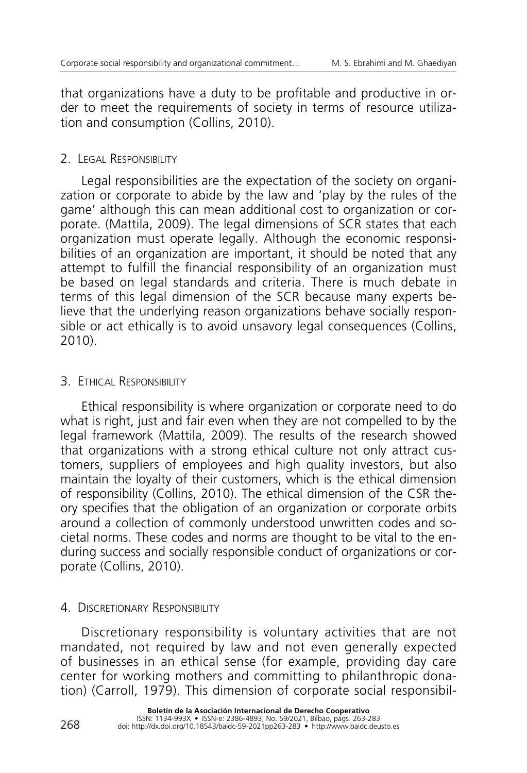that organizations have a duty to be profitable and productive in order to meet the requirements of society in terms of resource utilization and consumption (Collins, 2010).

### 2. Legal Responsibility

Legal responsibilities are the expectation of the society on organization or corporate to abide by the law and 'play by the rules of the game' although this can mean additional cost to organization or corporate. (Mattila, 2009). The legal dimensions of SCR states that each organization must operate legally. Although the economic responsibilities of an organization are important, it should be noted that any attempt to fulfill the financial responsibility of an organization must be based on legal standards and criteria. There is much debate in terms of this legal dimension of the SCR because many experts believe that the underlying reason organizations behave socially responsible or act ethically is to avoid unsavory legal consequences (Collins, 2010).

### **3. ETHICAL RESPONSIBILITY**

Ethical responsibility is where organization or corporate need to do what is right, just and fair even when they are not compelled to by the legal framework (Mattila, 2009). The results of the research showed that organizations with a strong ethical culture not only attract customers, suppliers of employees and high quality investors, but also maintain the loyalty of their customers, which is the ethical dimension of responsibility (Collins, 2010). The ethical dimension of the CSR theory specifies that the obligation of an organization or corporate orbits around a collection of commonly understood unwritten codes and societal norms. These codes and norms are thought to be vital to the enduring success and socially responsible conduct of organizations or corporate (Collins, 2010).

### 4. DISCRETIONARY RESPONSIBILITY

Discretionary responsibility is voluntary activities that are not mandated, not required by law and not even generally expected of businesses in an ethical sense (for example, providing day care center for working mothers and committing to philanthropic donation) (Carroll, 1979). This dimension of corporate social responsibil-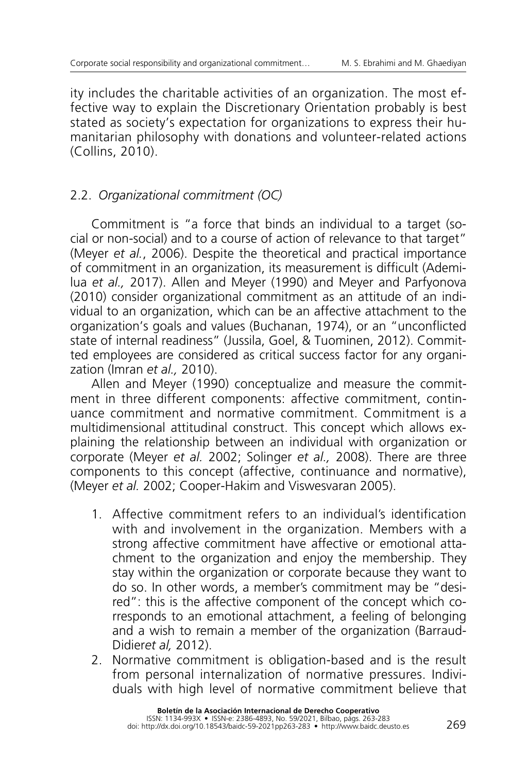ity includes the charitable activities of an organization. The most effective way to explain the Discretionary Orientation probably is best stated as society's expectation for organizations to express their humanitarian philosophy with donations and volunteer-related actions (Collins, 2010).

# 2.2. *Organizational commitment (OC)*

Commitment is "a force that binds an individual to a target (social or non-social) and to a course of action of relevance to that target" (Meyer *et al.*, 2006). Despite the theoretical and practical importance of commitment in an organization, its measurement is difficult (Ademilua *et al.,* 2017). Allen and Meyer (1990) and Meyer and Parfyonova (2010) consider organizational commitment as an attitude of an individual to an organization, which can be an affective attachment to the organization's goals and values (Buchanan, 1974), or an "unconflicted state of internal readiness" (Jussila, Goel, & Tuominen, 2012). Committed employees are considered as critical success factor for any organization (Imran *et al.,* 2010).

Allen and Meyer (1990) conceptualize and measure the commitment in three different components: affective commitment, continuance commitment and normative commitment. Commitment is a multidimensional attitudinal construct. This concept which allows explaining the relationship between an individual with organization or corporate (Meyer *et al.* 2002; Solinger *et al.,* 2008). There are three components to this concept (affective, continuance and normative), (Meyer *et al.* 2002; Cooper-Hakim and Viswesvaran 2005).

- 1. Affective commitment refers to an individual's identification with and involvement in the organization. Members with a strong affective commitment have affective or emotional attachment to the organization and enjoy the membership. They stay within the organization or corporate because they want to do so. In other words, a member's commitment may be "desired": this is the affective component of the concept which corresponds to an emotional attachment, a feeling of belonging and a wish to remain a member of the organization (Barraud-Didier*et al,* 2012).
- 2. Normative commitment is obligation-based and is the result from personal internalization of normative pressures. Individuals with high level of normative commitment believe that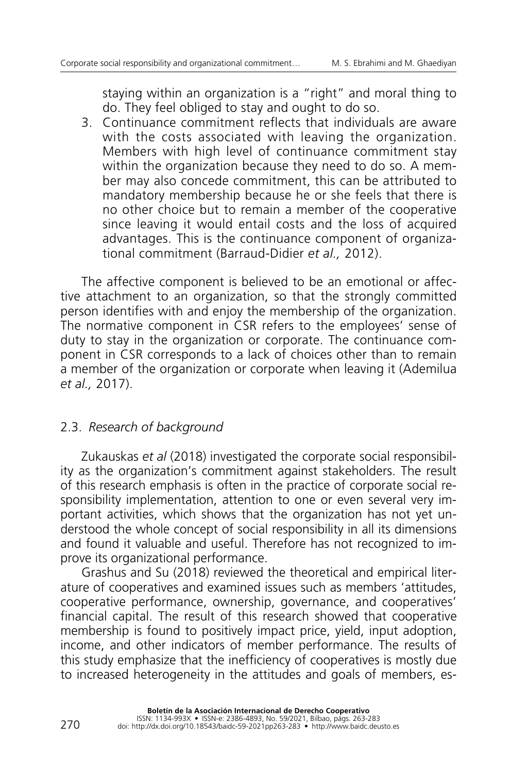staying within an organization is a "right" and moral thing to do. They feel obliged to stay and ought to do so.

3. Continuance commitment reflects that individuals are aware with the costs associated with leaving the organization. Members with high level of continuance commitment stay within the organization because they need to do so. A member may also concede commitment, this can be attributed to mandatory membership because he or she feels that there is no other choice but to remain a member of the cooperative since leaving it would entail costs and the loss of acquired advantages. This is the continuance component of organizational commitment (Barraud-Didier *et al.,* 2012).

The affective component is believed to be an emotional or affective attachment to an organization, so that the strongly committed person identifies with and enjoy the membership of the organization. The normative component in CSR refers to the employees' sense of duty to stay in the organization or corporate. The continuance component in CSR corresponds to a lack of choices other than to remain a member of the organization or corporate when leaving it (Ademilua *et al.,* 2017).

### 2.3. *Research of background*

Zukauskas *et al* (2018) investigated the corporate social responsibility as the organization's commitment against stakeholders. The result of this research emphasis is often in the practice of corporate social responsibility implementation, attention to one or even several very important activities, which shows that the organization has not yet understood the whole concept of social responsibility in all its dimensions and found it valuable and useful. Therefore has not recognized to improve its organizational performance.

Grashus and Su (2018) reviewed the theoretical and empirical literature of cooperatives and examined issues such as members 'attitudes, cooperative performance, ownership, governance, and cooperatives' financial capital. The result of this research showed that cooperative membership is found to positively impact price, yield, input adoption, income, and other indicators of member performance. The results of this study emphasize that the inefficiency of cooperatives is mostly due to increased heterogeneity in the attitudes and goals of members, es-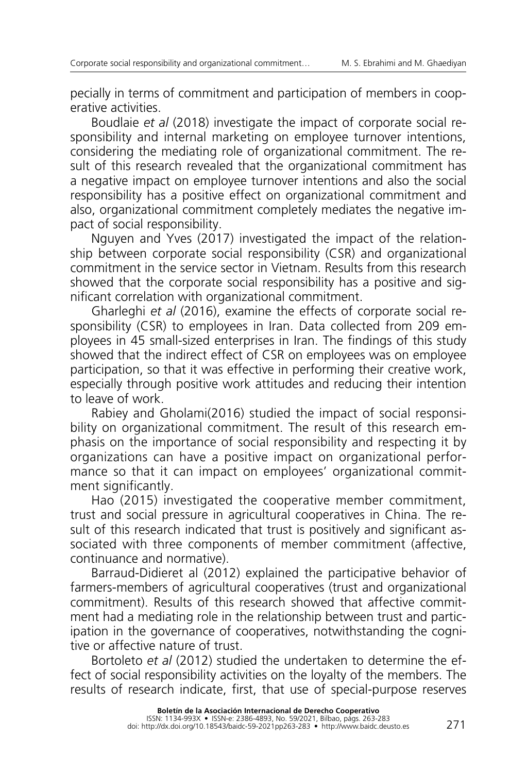pecially in terms of commitment and participation of members in cooperative activities.

Boudlaie *et al* (2018) investigate the impact of corporate social responsibility and internal marketing on employee turnover intentions, considering the mediating role of organizational commitment. The result of this research revealed that the organizational commitment has a negative impact on employee turnover intentions and also the social responsibility has a positive effect on organizational commitment and also, organizational commitment completely mediates the negative impact of social responsibility.

Nguyen and Yves (2017) investigated the impact of the relationship between corporate social responsibility (CSR) and organizational commitment in the service sector in Vietnam. Results from this research showed that the corporate social responsibility has a positive and significant correlation with organizational commitment.

Gharleghi *et al* (2016), examine the effects of corporate social responsibility (CSR) to employees in Iran. Data collected from 209 employees in 45 small-sized enterprises in Iran. The findings of this study showed that the indirect effect of CSR on employees was on employee participation, so that it was effective in performing their creative work, especially through positive work attitudes and reducing their intention to leave of work.

Rabiey and Gholami(2016) studied the impact of social responsibility on organizational commitment. The result of this research emphasis on the importance of social responsibility and respecting it by organizations can have a positive impact on organizational performance so that it can impact on employees' organizational commitment significantly.

Hao (2015) investigated the cooperative member commitment, trust and social pressure in agricultural cooperatives in China. The result of this research indicated that trust is positively and significant associated with three components of member commitment (affective, continuance and normative).

Barraud-Didieret al (2012) explained the participative behavior of farmers-members of agricultural cooperatives (trust and organizational commitment). Results of this research showed that affective commitment had a mediating role in the relationship between trust and participation in the governance of cooperatives, notwithstanding the cognitive or affective nature of trust.

Bortoleto *et al* (2012) studied the undertaken to determine the effect of social responsibility activities on the loyalty of the members. The results of research indicate, first, that use of special-purpose reserves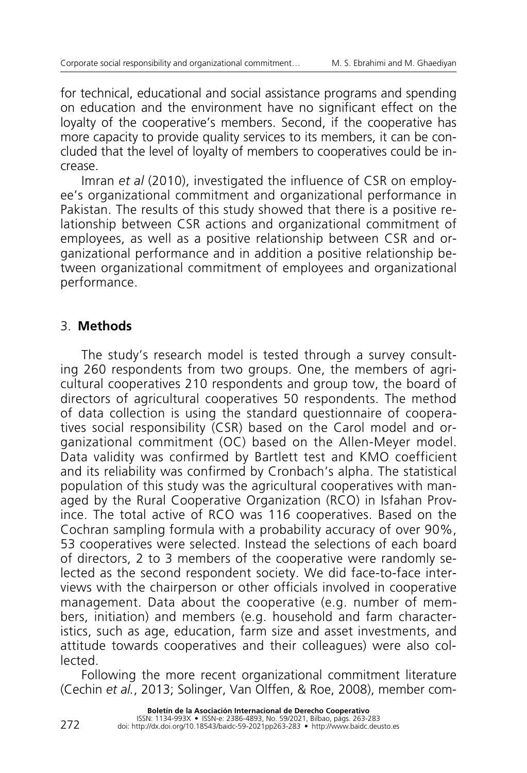for technical, educational and social assistance programs and spending on education and the environment have no significant effect on the loyalty of the cooperative's members. Second, if the cooperative has more capacity to provide quality services to its members, it can be concluded that the level of loyalty of members to cooperatives could be increase.

Imran *et al* (2010), investigated the influence of CSR on employee's organizational commitment and organizational performance in Pakistan. The results of this study showed that there is a positive relationship between CSR actions and organizational commitment of employees, as well as a positive relationship between CSR and organizational performance and in addition a positive relationship between organizational commitment of employees and organizational performance.

# 3. **Methods**

The study's research model is tested through a survey consulting 260 respondents from two groups. One, the members of agricultural cooperatives 210 respondents and group tow, the board of directors of agricultural cooperatives 50 respondents. The method of data collection is using the standard questionnaire of cooperatives social responsibility (CSR) based on the Carol model and organizational commitment (OC) based on the Allen-Meyer model. Data validity was confirmed by Bartlett test and KMO coefficient and its reliability was confirmed by Cronbach's alpha. The statistical population of this study was the agricultural cooperatives with managed by the Rural Cooperative Organization (RCO) in Isfahan Province. The total active of RCO was 116 cooperatives. Based on the Cochran sampling formula with a probability accuracy of over 90%, 53 cooperatives were selected. Instead the selections of each board of directors, 2 to 3 members of the cooperative were randomly selected as the second respondent society. We did face-to-face interviews with the chairperson or other officials involved in cooperative management. Data about the cooperative (e.g. number of members, initiation) and members (e.g. household and farm characteristics, such as age, education, farm size and asset investments, and attitude towards cooperatives and their colleagues) were also collected.

Following the more recent organizational commitment literature (Cechin *et al.*, 2013; Solinger, Van Olffen, & Roe, 2008), member com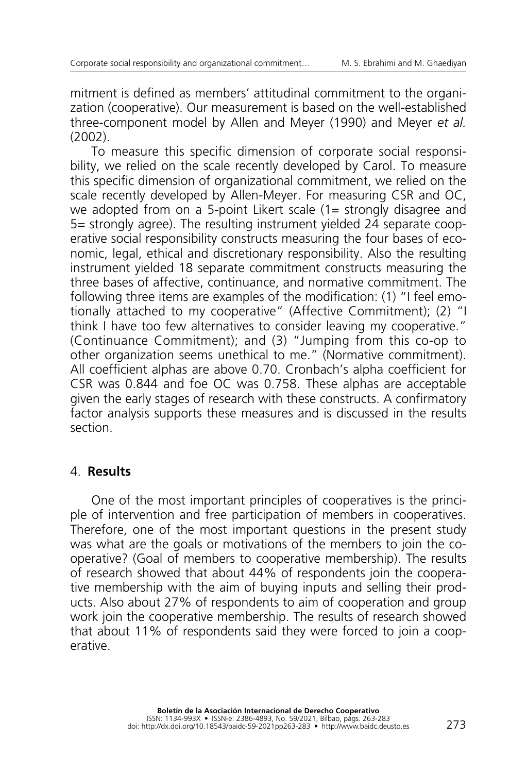mitment is defined as members' attitudinal commitment to the organization (cooperative). Our measurement is based on the well-established three-component model by Allen and Meyer (1990) and Meyer *et al.* (2002).

To measure this specific dimension of corporate social responsibility, we relied on the scale recently developed by Carol. To measure this specific dimension of organizational commitment, we relied on the scale recently developed by Allen-Meyer. For measuring CSR and OC, we adopted from on a 5-point Likert scale (1= strongly disagree and 5= strongly agree). The resulting instrument yielded 24 separate cooperative social responsibility constructs measuring the four bases of economic, legal, ethical and discretionary responsibility. Also the resulting instrument yielded 18 separate commitment constructs measuring the three bases of affective, continuance, and normative commitment. The following three items are examples of the modification: (1) "I feel emotionally attached to my cooperative" (Affective Commitment); (2) "I think I have too few alternatives to consider leaving my cooperative." (Continuance Commitment); and (3) "Jumping from this co-op to other organization seems unethical to me." (Normative commitment). All coefficient alphas are above 0.70. Cronbach's alpha coefficient for CSR was 0.844 and foe OC was 0.758. These alphas are acceptable given the early stages of research with these constructs. A confirmatory factor analysis supports these measures and is discussed in the results section.

### 4. **Results**

One of the most important principles of cooperatives is the principle of intervention and free participation of members in cooperatives. Therefore, one of the most important questions in the present study was what are the goals or motivations of the members to join the cooperative? (Goal of members to cooperative membership). The results of research showed that about 44% of respondents join the cooperative membership with the aim of buying inputs and selling their products. Also about 27% of respondents to aim of cooperation and group work join the cooperative membership. The results of research showed that about 11% of respondents said they were forced to join a cooperative.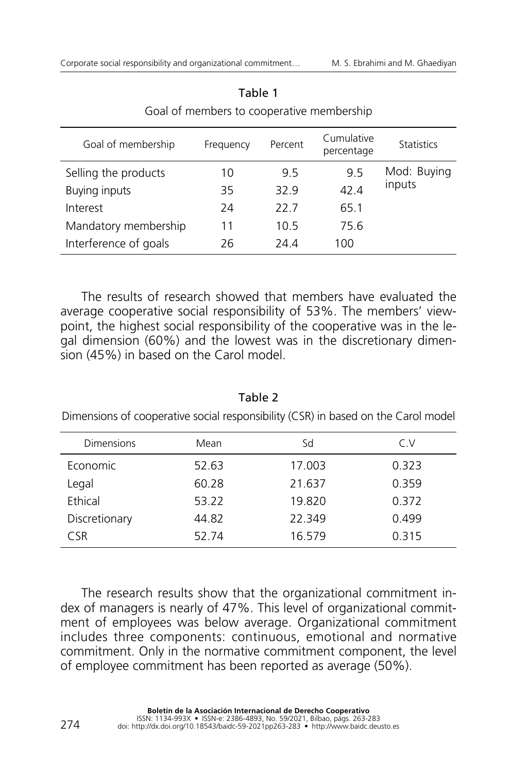| Goal of membership    | Frequency | Percent | Cumulative<br>percentage | <b>Statistics</b> |
|-----------------------|-----------|---------|--------------------------|-------------------|
| Selling the products  | 10        | 9.5     | 9.5                      | Mod: Buying       |
| Buying inputs         | 35        | 32.9    | 42.4                     | inputs            |
| Interest              | 24        | 22 Z    | 65.1                     |                   |
| Mandatory membership  | 11        | 10.5    | 75.6                     |                   |
| Interference of goals | 26        | 24.4    | 100                      |                   |

Table 1 Goal of members to cooperative membership

The results of research showed that members have evaluated the average cooperative social responsibility of 53%. The members' viewpoint, the highest social responsibility of the cooperative was in the legal dimension (60%) and the lowest was in the discretionary dimension (45%) in based on the Carol model.

| Dimensions of cooperative social responsibility (CSR) in based on the Carol model |       |        |       |  |
|-----------------------------------------------------------------------------------|-------|--------|-------|--|
| Dimensions                                                                        | Mean  | Sd     | C.V   |  |
| Economic                                                                          | 52.63 | 17.003 | 0.323 |  |
| Legal                                                                             | 60.28 | 21.637 | 0.359 |  |
| Ethical                                                                           | 53.22 | 19.820 | 0.372 |  |
| Discretionary                                                                     | 44.82 | 22.349 | 0.499 |  |
| <b>CSR</b>                                                                        | 52.74 | 16.579 | 0.315 |  |

Table 2

The research results show that the organizational commitment index of managers is nearly of 47%. This level of organizational commitment of employees was below average. Organizational commitment includes three components: continuous, emotional and normative commitment. Only in the normative commitment component, the level of employee commitment has been reported as average (50%).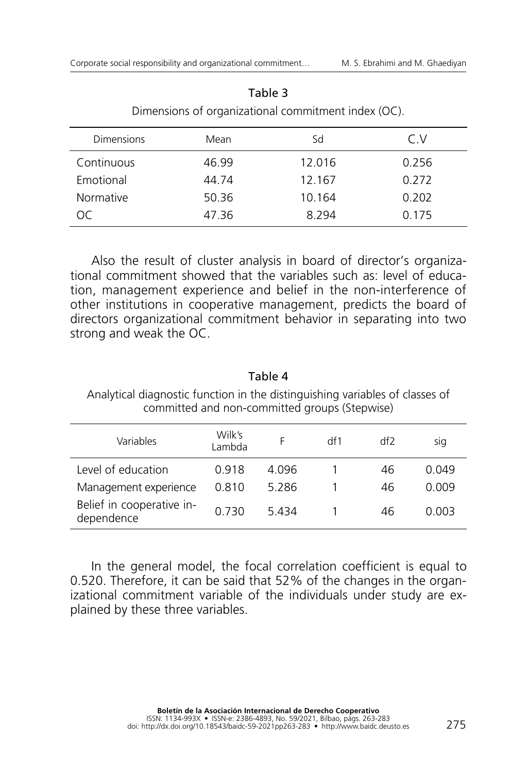| <b>Dimensions</b> | Mean  | Sd     | C.V   |  |
|-------------------|-------|--------|-------|--|
| Continuous        | 46.99 | 12.016 | 0.256 |  |
| Emotional         | 44.74 | 12.167 | 0.272 |  |
| <b>Normative</b>  | 50.36 | 10.164 | 0.202 |  |
| ററ                | 47.36 | 8.294  | 0.175 |  |

Table 3 Dimensions of organizational commitment index (OC).

Also the result of cluster analysis in board of director's organizational commitment showed that the variables such as: level of education, management experience and belief in the non-interference of other institutions in cooperative management, predicts the board of directors organizational commitment behavior in separating into two strong and weak the OC.

### Table 4

Analytical diagnostic function in the distinguishing variables of classes of committed and non-committed groups (Stepwise)

| Variables                               | Wilk's<br>Lambda |       | df1 | df2 | sig   |
|-----------------------------------------|------------------|-------|-----|-----|-------|
| Level of education                      | 0.918            | 4.096 |     | 46  | 0.049 |
| Management experience                   | 0.810            | 5.286 |     | 46  | 0.009 |
| Belief in cooperative in-<br>dependence | 0.730            | 5.434 |     | 46  | 0.003 |

In the general model, the focal correlation coefficient is equal to 0.520. Therefore, it can be said that 52% of the changes in the organizational commitment variable of the individuals under study are explained by these three variables.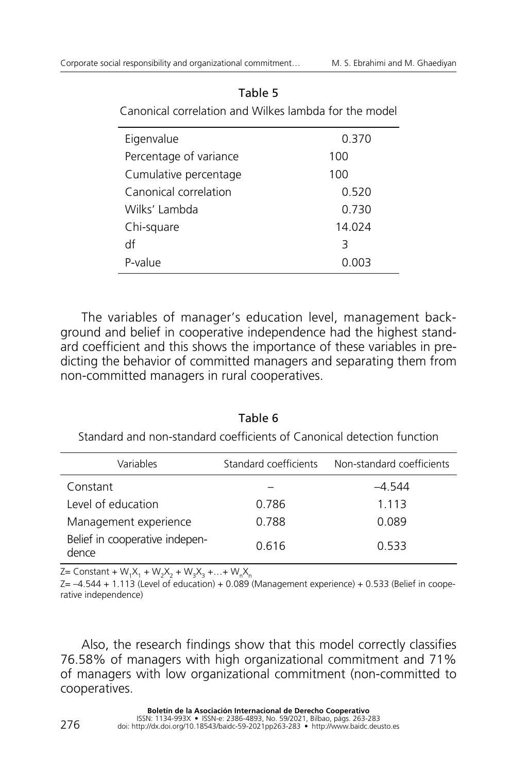| Eigenvalue             | 0.370  |
|------------------------|--------|
| Percentage of variance | 100    |
| Cumulative percentage  | 100    |
| Canonical correlation  | 0.520  |
| Wilks' Lambda          | 0.730  |
| Chi-square             | 14.024 |
| df                     | 3      |
| P-value                | 0 003  |

#### Table 5

Canonical correlation and Wilkes lambda for the model

The variables of manager's education level, management background and belief in cooperative independence had the highest standard coefficient and this shows the importance of these variables in predicting the behavior of committed managers and separating them from non-committed managers in rural cooperatives.

Variables Standard coefficients Non-standard coefficients Constant – –4.544 Level of education and the control of the control of the control of the control of the control of the control o Management experience  $0.788$  0.089 0.616 0.533 Belief in cooperative independence

Table 6 Standard and non-standard coefficients of Canonical detection function

 $Z =$  Constant +  $W_1X_1 + W_2X_2 + W_3X_3 + ... + W_nX_n$ 

 $Z = -4.544 + 1.113$  (Level of education) + 0.089 (Management experience) + 0.533 (Belief in cooperative independence)

Also, the research findings show that this model correctly classifies 76.58% of managers with high organizational commitment and 71% of managers with low organizational commitment (non-committed to cooperatives.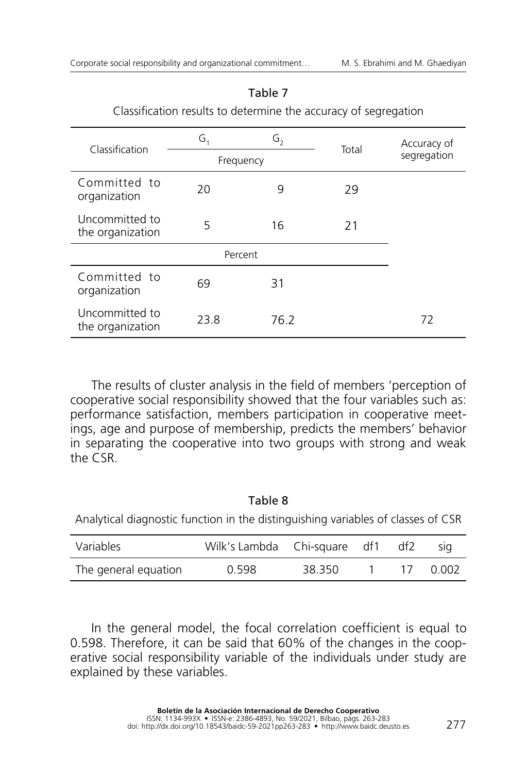| Classification                     | G,      | G <sub>2</sub> | Total | Accuracy of |
|------------------------------------|---------|----------------|-------|-------------|
|                                    |         | Frequency      |       | segregation |
| Committed to<br>organization       | 20      | 9              | 29    |             |
| Uncommitted to<br>the organization | 5       | 16             | 21    |             |
|                                    | Percent |                |       |             |
| Committed to<br>organization       | 69      | 31             |       |             |
| Uncommitted to<br>the organization | 23.8    | 76.2           |       | 72          |

#### Table 7

Classification results to determine the accuracy of segregation

The results of cluster analysis in the field of members 'perception of cooperative social responsibility showed that the four variables such as: performance satisfaction, members participation in cooperative meetings, age and purpose of membership, predicts the members' behavior in separating the cooperative into two groups with strong and weak the CSR.

### Table 8

Analytical diagnostic function in the distinguishing variables of classes of CSR

| Variables            | Wilk's Lambda Chi-square df1 df2 |        |  | <b>SIQ</b> |
|----------------------|----------------------------------|--------|--|------------|
| The general equation | 0.598                            | 38.350 |  | 0.002      |

In the general model, the focal correlation coefficient is equal to 0.598. Therefore, it can be said that 60% of the changes in the cooperative social responsibility variable of the individuals under study are explained by these variables.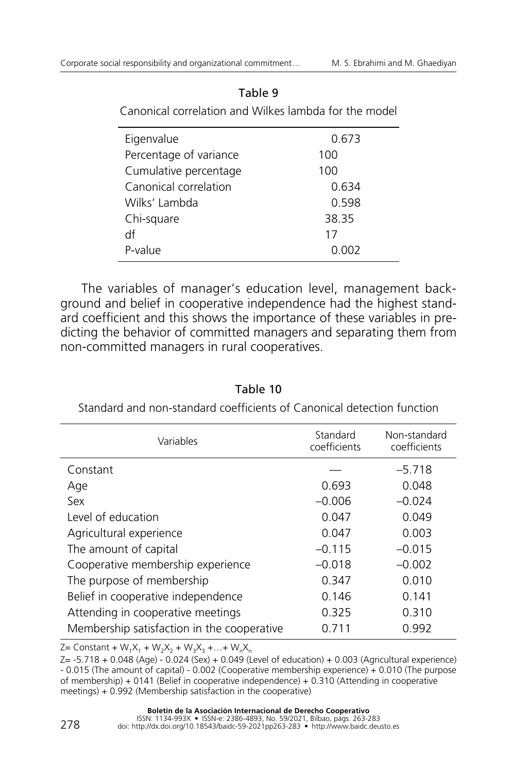| Canonical correlation and Wilkes lambda for the model |       |  |  |
|-------------------------------------------------------|-------|--|--|
| Eigenvalue                                            | 0.673 |  |  |
| Percentage of variance                                | 100   |  |  |
| Cumulative percentage                                 | 100   |  |  |
| Canonical correlation                                 | 0.634 |  |  |
| Wilks' Lambda                                         | 0.598 |  |  |
| Chi-square                                            | 38.35 |  |  |
| df                                                    | 17    |  |  |
| P-value                                               | 0.002 |  |  |

#### Table 9

The variables of manager's education level, management background and belief in cooperative independence had the highest standard coefficient and this shows the importance of these variables in predicting the behavior of committed managers and separating them from non-committed managers in rural cooperatives.

| Variables                                  | Standard<br>coefficients | Non-standard<br>coefficients |
|--------------------------------------------|--------------------------|------------------------------|
| Constant                                   |                          | $-5.718$                     |
| Age                                        | 0.693                    | 0.048                        |
| Sex                                        | $-0.006$                 | $-0.024$                     |
| Level of education                         | 0.047                    | 0.049                        |
| Agricultural experience                    | 0.047                    | 0.003                        |
| The amount of capital                      | $-0.115$                 | $-0.015$                     |
| Cooperative membership experience          | $-0.018$                 | $-0.002$                     |
| The purpose of membership                  | 0.347                    | 0.010                        |
| Belief in cooperative independence         | 0.146                    | 0.141                        |
| Attending in cooperative meetings          | 0.325                    | 0.310                        |
| Membership satisfaction in the cooperative | 0.711                    | 0.992                        |

Table 10

Standard and non-standard coefficients of Canonical detection function

 $Z =$  Constant + W<sub>1</sub>X<sub>1</sub> + W<sub>2</sub>X<sub>2</sub> + W<sub>3</sub>X<sub>3</sub> +…+ W<sub>n</sub>X<sub>n</sub>

Z= -5.718 + 0.048 (Age) - 0.024 (Sex) + 0.049 (Level of education) + 0.003 (Agricultural experience) - 0.015 (The amount of capital) - 0.002 (Cooperative membership experience) + 0.010 (The purpose of membership) + 0141 (Belief in cooperative independence) + 0.310 (Attending in cooperative meetings) + 0.992 (Membership satisfaction in the cooperative)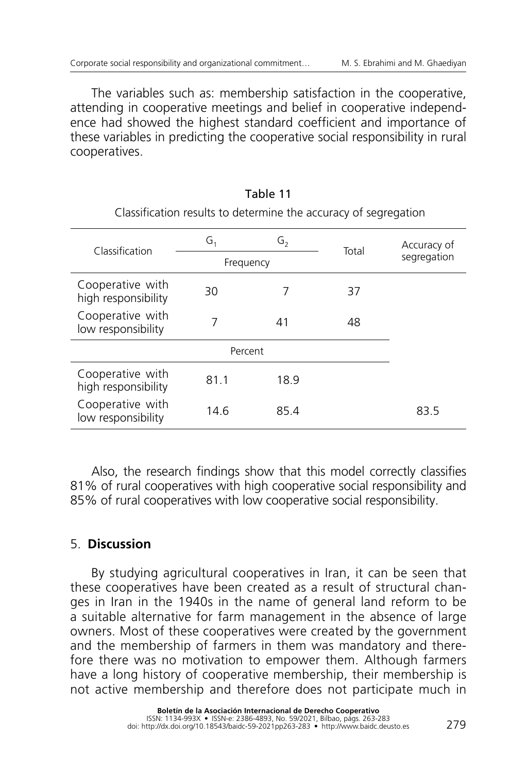The variables such as: membership satisfaction in the cooperative, attending in cooperative meetings and belief in cooperative independence had showed the highest standard coefficient and importance of these variables in predicting the cooperative social responsibility in rural cooperatives.

| Classification                          | G,      | G,        | Total | Accuracy of |
|-----------------------------------------|---------|-----------|-------|-------------|
|                                         |         | Frequency |       | segregation |
| Cooperative with<br>high responsibility | 30      | 7         | 37    |             |
| Cooperative with<br>low responsibility  | 7       | 41        | 48    |             |
|                                         | Percent |           |       |             |
| Cooperative with<br>high responsibility | 81.1    | 18.9      |       |             |
| Cooperative with<br>low responsibility  | 14.6    | 85.4      |       | 83.5        |

# Table 11 Classification results to determine the accuracy of segregation

Also, the research findings show that this model correctly classifies 81% of rural cooperatives with high cooperative social responsibility and 85% of rural cooperatives with low cooperative social responsibility.

# 5. **Discussion**

By studying agricultural cooperatives in Iran, it can be seen that these cooperatives have been created as a result of structural changes in Iran in the 1940s in the name of general land reform to be a suitable alternative for farm management in the absence of large owners. Most of these cooperatives were created by the government and the membership of farmers in them was mandatory and therefore there was no motivation to empower them. Although farmers have a long history of cooperative membership, their membership is not active membership and therefore does not participate much in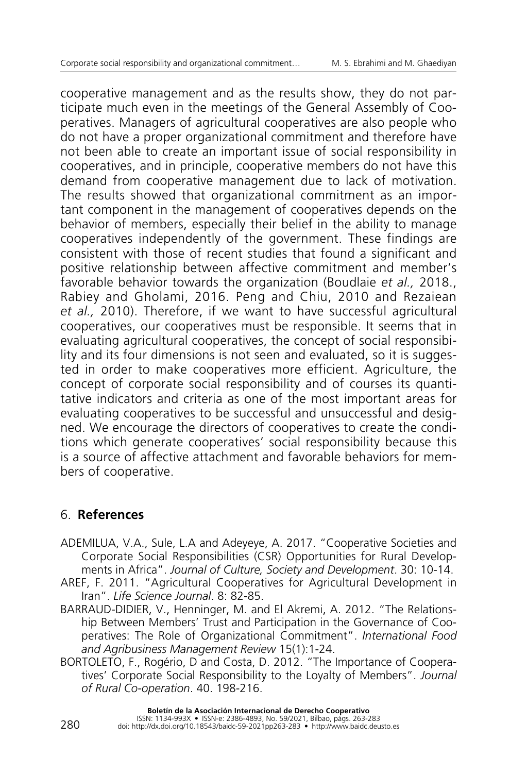cooperative management and as the results show, they do not participate much even in the meetings of the General Assembly of Cooperatives. Managers of agricultural cooperatives are also people who do not have a proper organizational commitment and therefore have not been able to create an important issue of social responsibility in cooperatives, and in principle, cooperative members do not have this demand from cooperative management due to lack of motivation. The results showed that organizational commitment as an important component in the management of cooperatives depends on the behavior of members, especially their belief in the ability to manage cooperatives independently of the government. These findings are consistent with those of recent studies that found a significant and positive relationship between affective commitment and member's favorable behavior towards the organization (Boudlaie *et al.,* 2018., Rabiey and Gholami, 2016. Peng and Chiu, 2010 and Rezaiean *et al.,* 2010). Therefore, if we want to have successful agricultural cooperatives, our cooperatives must be responsible. It seems that in evaluating agricultural cooperatives, the concept of social responsibility and its four dimensions is not seen and evaluated, so it is suggested in order to make cooperatives more efficient. Agriculture, the concept of corporate social responsibility and of courses its quantitative indicators and criteria as one of the most important areas for evaluating cooperatives to be successful and unsuccessful and designed. We encourage the directors of cooperatives to create the conditions which generate cooperatives' social responsibility because this is a source of affective attachment and favorable behaviors for members of cooperative.

# 6. **References**

- Ademilua, V.A., Sule, L.A and Adeyeye, A. 2017. "Cooperative Societies and Corporate Social Responsibilities (CSR) Opportunities for Rural Developments in Africa". *Journal of Culture, Society and Development*. 30: 10-14.
- AREF, F. 2011. "Agricultural Cooperatives for Agricultural Development in Iran". *Life Science Journal*. 8: 82-85.
- BARRAUD-DIDIER, V., Henninger, M. and El Akremi, A. 2012. "The Relationship Between Members' Trust and Participation in the Governance of Cooperatives: The Role of Organizational Commitment". *International Food and Agribusiness Management Review* 15(1):1-24.
- BORTOLETO, F., Rogério, D and Costa, D. 2012. "The Importance of Cooperatives' Corporate Social Responsibility to the Loyalty of Members". *Journal of Rural Co-operation*. 40. 198-216.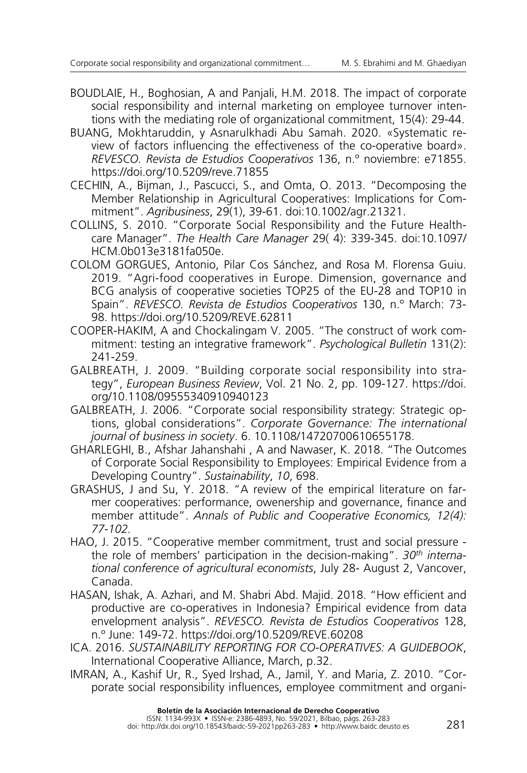- BOUDLAIE, H., [Boghosian,](http://barresybazargani.itsr.ir/?_action=article&au=205299&_au=albert++boghosian&lang=en) A and Panjali, H.M. 2018. The impact of corporate social responsibility and internal marketing on employee turnover intentions with the mediating role of organizational commitment, 15(4): 29-44.
- Buang, Mokhtaruddin, y Asnarulkhadi Abu Samah. 2020. «Systematic review of factors influencing the effectiveness of the co-operative board». *REVESCO. Revista de Estudios Cooperativos* 136, n.º noviembre: e71855. <https://doi.org/10.5209/reve.71855>
- Cechin, A., Bijman, J., Pascucci, S., and Omta, O. 2013. "Decomposing the Member Relationship in Agricultural Cooperatives: Implications for Commitment". *Agribusiness*, 29(1), 39-61. doi:10.1002/agr.21321.
- Collins, S. 2010. "Corporate Social Responsibility and the Future Healthcare Manager". *The Health Care Manager* 29( 4): 339-345. doi:10.1097/ HCM.0b013e3181fa050e.
- Colom Gorgues, Antonio, Pilar Cos Sánchez, and Rosa M. Florensa Guiu. 2019. "Agri-food cooperatives in Europe. Dimension, governance and BCG analysis of cooperative societies TOP25 of the EU-28 and TOP10 in Spain". *REVESCO. Revista de Estudios Cooperativos* 130, n.º March: 73- 98. <https://doi.org/10.5209/REVE.62811>
- Cooper-Hakim, A and Chockalingam V. 2005. "The construct of work commitment: testing an integrative framework". *Psychological Bulletin* 131(2): 241-259.
- GALBREATH, J. 2009. "Building corporate social responsibility into strategy", *[European Business Review](https://www.emerald.com/insight/publication/issn/0955-534X)*, Vol. 21 No. 2, pp. 109-127. [https://doi.](https://doi.org/10.1108/09555340910940123) [org/10.1108/09555340910940123](https://doi.org/10.1108/09555340910940123)
- GALBREATH, J. 2006. "Corporate social responsibility strategy: Strategic options, global considerations". *Corporate Governance: The international journal of business in society*. 6. 10.1108/14720700610655178.
- GHARLEGHI, B., Afshar Jahanshahi, A and Nawaser, K. 2018. "The Outcomes of Corporate Social Responsibility to Employees: Empirical Evidence from a Developing Country". *Sustainability*, *10*, 698.
- GRASHUS, J and Su, Y. 2018. "A review of the empirical literature on farmer cooperatives: performance, owenership and governance, finance and member attitude". *Annals of Public and Cooperative Economics, 12(4): 77-102.*
- Hao, J. 2015. "Cooperative member commitment, trust and social pressure the role of members' participation in the decision-making". *30th international conference of agricultural economists*, July 28- August 2, Vancover, Canada.
- Hasan, Ishak, A. Azhari, and M. Shabri Abd. Majid. 2018. "How efficient and productive are co-operatives in Indonesia? Empirical evidence from data envelopment analysis". *REVESCO. Revista de Estudios Cooperativos* 128, n.º June: 149-72.<https://doi.org/10.5209/REVE.60208>
- ICA. 2016. *Sustainability Reporting for Co-operatives: A Guidebook*, International Cooperative Alliance, March, p.32.
- Imran, A., Kashif Ur, R., Syed Irshad, A., Jamil, Y. and Maria, Z. 2010. "Corporate social responsibility influences, employee commitment and organi-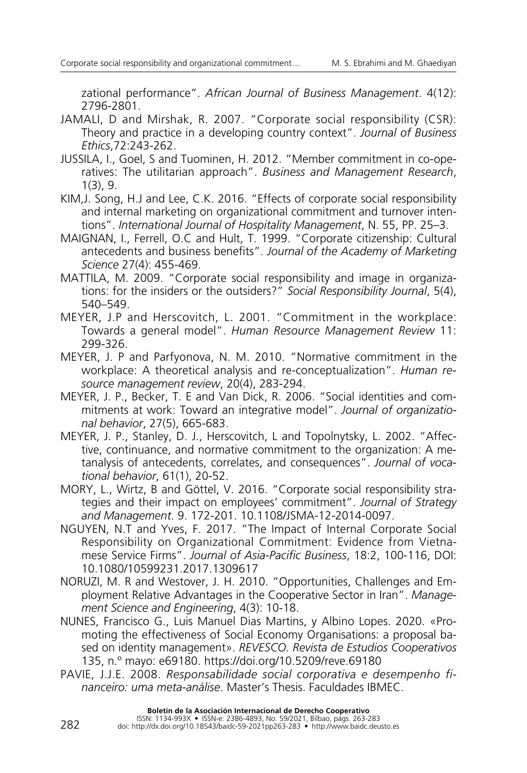zational performance". *African Journal of Business Management*. 4(12): 2796-2801.

- JAMALI, D and Mirshak, R. 2007. "Corporate social responsibility (CSR): Theory and practice in a developing country context". *Journal of Business Ethics*,72:243-262.
- Jussila, I., Goel, S and Tuominen, H. 2012. "Member commitment in co-operatives: The utilitarian approach". *Business and Management Research*, 1(3), 9.
- Kim,J. Song, H.J and Lee, C.K. 2016. "Effects of corporate social responsibility and internal marketing on organizational commitment and turnover intentions". *International Journal of Hospitality Management*, N. 55, PP. 25–3.
- Maignan, I., Ferrell, O.C and Hult, T. 1999. "Corporate citizenship: Cultural antecedents and business benefits". *Journal of the Academy of Marketing Science* 27(4): 455-469.
- MATTILA, M. 2009. "Corporate social responsibility and image in organizations: for the insiders or the outsiders?" *Social Responsibility Journal*, 5(4), 540–549.
- Meyer, J.P and Herscovitch, L. 2001. "Commitment in the workplace: Towards a general model". *Human Resource Management Review* 11: 299-326.
- Meyer, J. P and Parfyonova, N. M. 2010. "Normative commitment in the workplace: A theoretical analysis and re-conceptualization". *Human resource management review*, 20(4), 283-294.
- Meyer, J. P., Becker, T. E and Van Dick, R. 2006. "Social identities and commitments at work: Toward an integrative model". *Journal of organizational behavior*, 27(5), 665-683.
- Meyer, J. P., Stanley, D. J., Herscovitch, L and Topolnytsky, L. 2002. "Affective, continuance, and normative commitment to the organization: A metanalysis of antecedents, correlates, and consequences". *Journal of vocational behavior*, 61(1), 20-52.
- Mory, L., Wirtz, B and Göttel, V. 2016. "Corporate social responsibility strategies and their impact on employees' commitment". *Journal of Strategy and Management*. 9. 172-201. 10.1108/JSMA-12-2014-0097.
- Nguyen, N.T and Yves, F. 2017. "The Impact of Internal Corporate Social Responsibility on Organizational Commitment: Evidence from Vietnamese Service Firms". *Journal of Asia-Pacific Business*, 18:2, 100-116, DOI: [10.1080/10599231.2017.1309617](https://doi.org/10.1080/10599231.2017.1309617)
- NORUZI, M. R and Westover, J. H. 2010. "Opportunities, Challenges and Employment Relative Advantages in the Cooperative Sector in Iran". *Management Science and Engineering*, 4(3): 10-18.
- Nunes, Francisco G., Luis Manuel Dias Martins, y Albino Lopes. 2020. «Promoting the effectiveness of Social Economy Organisations: a proposal based on identity management». *REVESCO. Revista de Estudios Cooperativos* 135, n.º mayo: e69180. <https://doi.org/10.5209/reve.69180>
- Pavie, J.J.E. 2008. *Responsabilidade social corporativa e desempenho financeiro: uma meta-análise*. Master's Thesis. Faculdades IBMEC.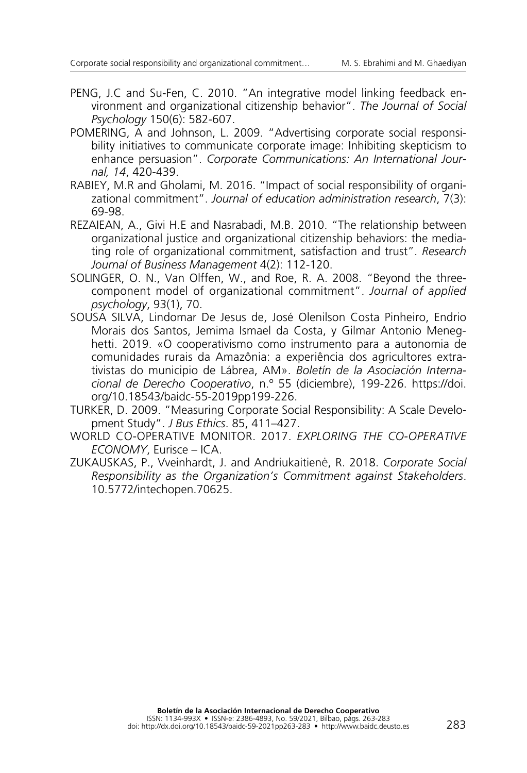- Peng, J.C and Su-Fen, C. 2010. "An integrative model linking feedback environment and organizational citizenship behavior". *The Journal of Social Psychology* 150(6): 582-607.
- POMERING, A and Johnson, L. 2009. "Advertising corporate social responsibility initiatives to communicate corporate image: Inhibiting skepticism to enhance persuasion". *Corporate Communications: An International Journal, 14*, 420-439.
- Rabiey, M.R and Gholami, M. 2016. "Impact of social responsibility of organizational commitment". *Journal of education administration research*, 7(3): 69-98.
- REZAIEAN, A., Givi H.E and Nasrabadi, M.B. 2010. "The relationship between organizational justice and organizational citizenship behaviors: the mediating role of organizational commitment, satisfaction and trust". *Research Journal of Business Management* 4(2): 112-120.
- SOLINGER, O. N., Van Olffen, W., and Roe, R. A. 2008. "Beyond the threecomponent model of organizational commitment". *Journal of applied psychology*, 93(1), 70.
- Sousa Silva, Lindomar De Jesus de, José Olenilson Costa Pinheiro, Endrio Morais dos Santos, Jemima Ismael da Costa, y Gilmar Antonio Meneghetti. 2019. «O cooperativismo como instrumento para a autonomia de comunidades rurais da Amazônia: a experiência dos agricultores extrativistas do municipio de Lábrea, AM». *Boletín de la Asociación Internacional de Derecho Cooperativo*, n.º 55 (diciembre), 199-226. https://doi. org/10.18543/baidc-55-2019pp199-226.
- Turker, D. 2009. "Measuring Corporate Social Responsibility: A Scale Development Study". *J Bus Ethics*. 85, 411–427.
- World Co-operative Monitor. 2017. *Exploring the Co-operative economy*, Eurisce – ICA.
- Zukauskas, P., Vveinhardt, J. and Andriukaitienė, R. 2018. *Corporate Social Responsibility as the Organization's Commitment against Stakeholders*. 10.5772/intechopen.70625.